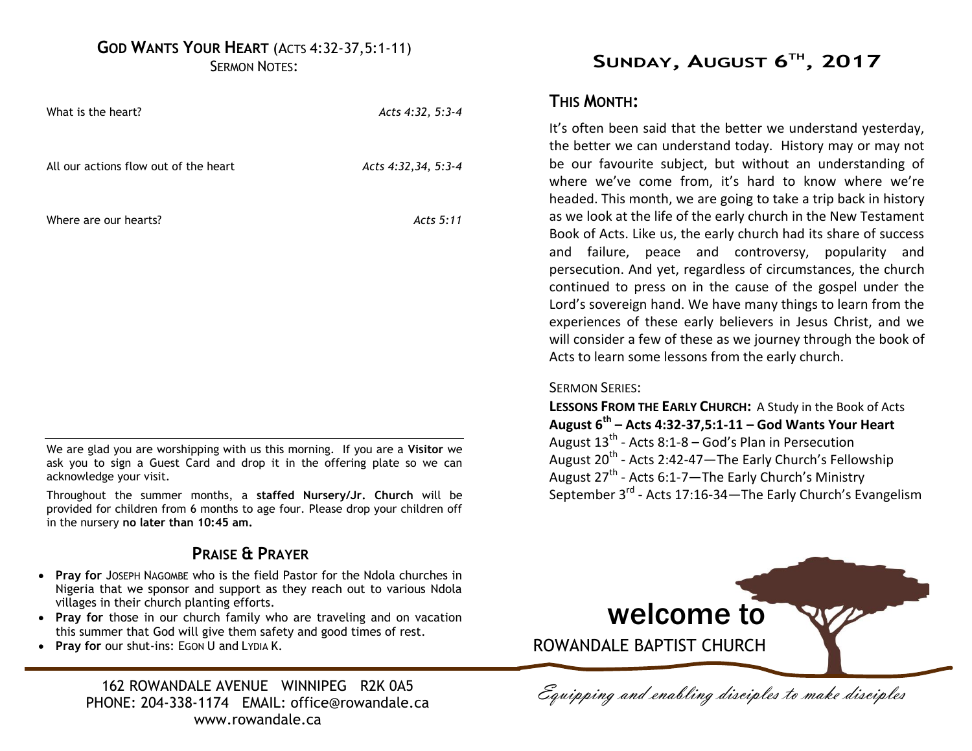# **GOD WANTS YOUR HEART** (ACTS 4:32-37,5:1-11)

SERMON NOTES:

| What is the heart?                    | Acts 4:32, 5:3-4    |
|---------------------------------------|---------------------|
| All our actions flow out of the heart | Acts 4:32,34, 5:3-4 |
| Where are our hearts?                 | Acts 5:11           |
|                                       |                     |
|                                       |                     |

We are glad you are worshipping with us this morning. If you are a **Visitor** we ask you to sign a Guest Card and drop it in the offering plate so we can acknowledge your visit.

Throughout the summer months, a **staffed Nursery/Jr. Church** will be provided for children from 6 months to age four. Please drop your children off in the nursery **no later than 10:45 am.**

## **PRAISE & PRAYER**

- **Pray for** JOSEPH NAGOMBE who is the field Pastor for the Ndola churches in Nigeria that we sponsor and support as they reach out to various Ndola villages in their church planting efforts.
- **Pray for** those in our church family who are traveling and on vacation this summer that God will give them safety and good times of rest.
- **Pray for** our shut-ins: EGON U and LYDIA K.

162 ROWANDALE AVENUE WINNIPEG R2K 0A5<br>IONE: 204-338-1174 EMAIL: office@rowandale ca *Equipping and enabling disciples to make disciples* PHONE: 204-338-1174 EMAIL: office@rowandale.ca www.rowandale.ca

# **SUNDAY, AUGUST 6 TH , 2017**

## **THIS MONTH:**

It's often been said that the better we understand yesterday, the better we can understand today. History may or may not be our favourite subject, but without an understanding of where we've come from, it's hard to know where we're headed. This month, we are going to take a trip back in history as we look at the life of the early church in the New Testament Book of Acts. Like us, the early church had its share of success and failure, peace and controversy, popularity and persecution. And yet, regardless of circumstances, the church continued to press on in the cause of the gospel under the Lord's sovereign hand. We have many things to learn from the experiences of these early believers in Jesus Christ, and we will consider a few of these as we journey through the book of Acts to learn some lessons from the early church.

#### SERMON SERIES:

**LESSONS FROM THE EARLY CHURCH:** A Study in the Book of Acts **August 6th – Acts 4:32-37,5:1-11 – God Wants Your Heart**  August  $13<sup>th</sup>$  - Acts 8:1-8 – God's Plan in Persecution August 20<sup>th</sup> - Acts 2:42-47—The Early Church's Fellowship August 27<sup>th</sup> - Acts 6:1-7—The Early Church's Ministry September 3<sup>rd</sup> - Acts 17:16-34—The Early Church's Evangelism